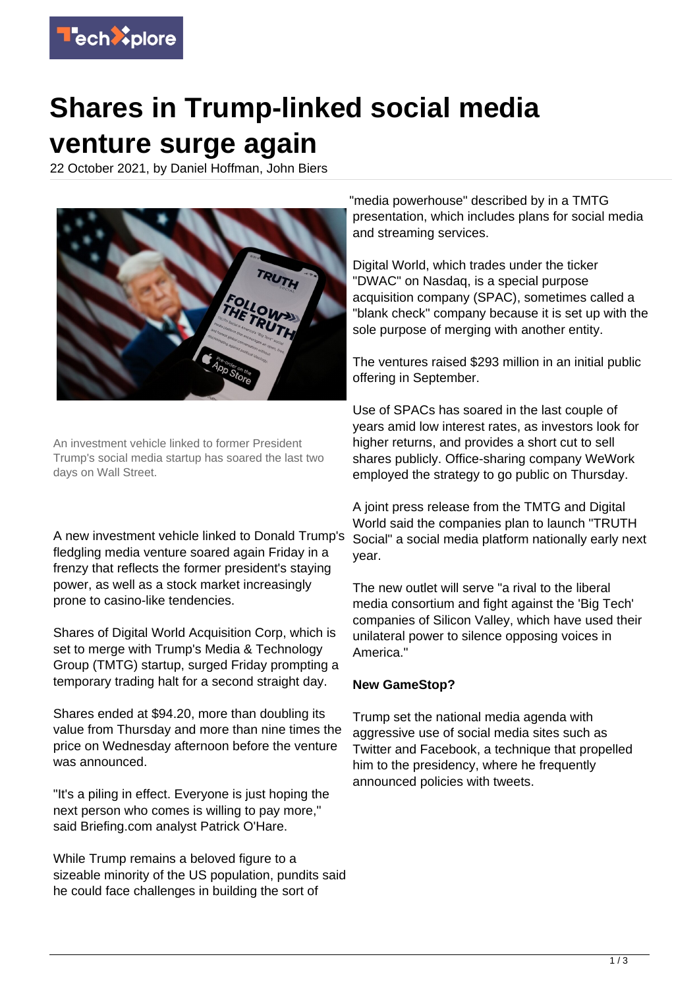

## **Shares in Trump-linked social media venture surge again**

22 October 2021, by Daniel Hoffman, John Biers



An investment vehicle linked to former President Trump's social media startup has soared the last two days on Wall Street.

A new investment vehicle linked to Donald Trump's fledgling media venture soared again Friday in a frenzy that reflects the former president's staying power, as well as a stock market increasingly prone to casino-like tendencies.

Shares of Digital World Acquisition Corp, which is set to merge with Trump's Media & Technology Group (TMTG) startup, surged Friday prompting a temporary trading halt for a second straight day.

Shares ended at \$94.20, more than doubling its value from Thursday and more than nine times the price on Wednesday afternoon before the venture was announced.

"It's a piling in effect. Everyone is just hoping the next person who comes is willing to pay more," said Briefing.com analyst Patrick O'Hare.

While Trump remains a beloved figure to a sizeable minority of the US population, pundits said he could face challenges in building the sort of

"media powerhouse" described by in a TMTG presentation, which includes plans for social media and streaming services.

Digital World, which trades under the ticker "DWAC" on Nasdaq, is a special purpose acquisition company (SPAC), sometimes called a "blank check" company because it is set up with the sole purpose of merging with another entity.

The ventures raised \$293 million in an initial public offering in September.

Use of SPACs has soared in the last couple of years amid low interest rates, as investors look for higher returns, and provides a short cut to sell shares publicly. Office-sharing company WeWork employed the strategy to go public on Thursday.

A joint press release from the TMTG and Digital World said the companies plan to launch "TRUTH Social" a social media platform nationally early next year.

The new outlet will serve "a rival to the liberal media consortium and fight against the 'Big Tech' companies of Silicon Valley, which have used their unilateral power to silence opposing voices in America."

## **New GameStop?**

Trump set the national media agenda with aggressive use of social media sites such as Twitter and Facebook, a technique that propelled him to the presidency, where he frequently announced policies with tweets.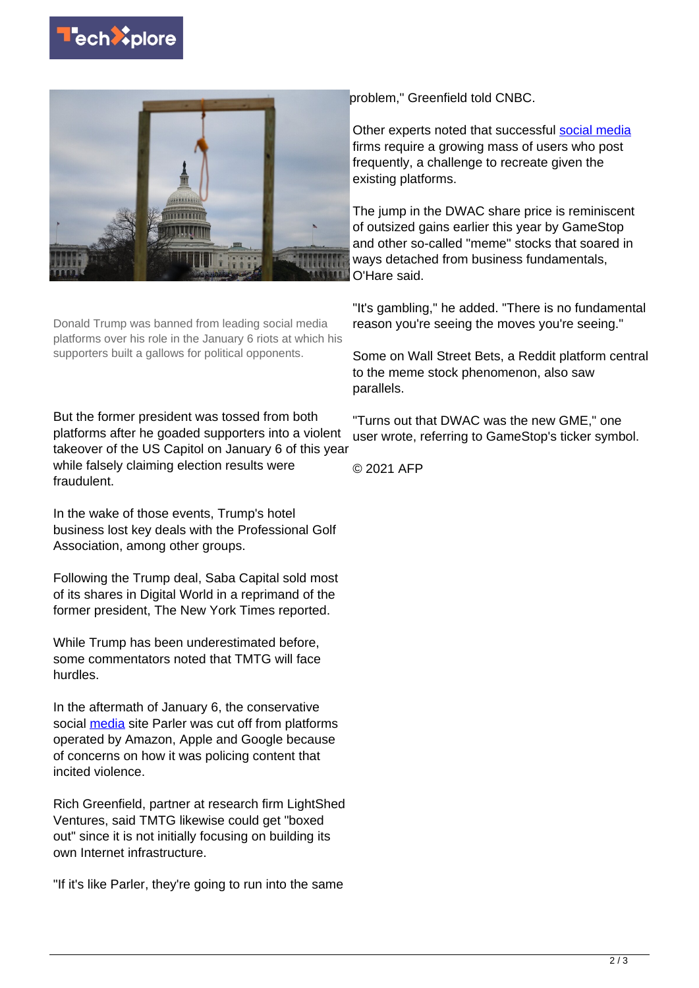



Donald Trump was banned from leading social media platforms over his role in the January 6 riots at which his supporters built a gallows for political opponents.

But the former president was tossed from both platforms after he goaded supporters into a violent takeover of the US Capitol on January 6 of this year while falsely claiming election results were fraudulent.

In the wake of those events, Trump's hotel business lost key deals with the Professional Golf Association, among other groups.

Following the Trump deal, Saba Capital sold most of its shares in Digital World in a reprimand of the former president, The New York Times reported.

While Trump has been underestimated before, some commentators noted that TMTG will face hurdles.

In the aftermath of January 6, the conservative social [media](https://techxplore.com/tags/media/) site Parler was cut off from platforms operated by Amazon, Apple and Google because of concerns on how it was policing content that incited violence.

Rich Greenfield, partner at research firm LightShed Ventures, said TMTG likewise could get "boxed out" since it is not initially focusing on building its own Internet infrastructure.

"If it's like Parler, they're going to run into the same

problem," Greenfield told CNBC.

Other experts noted that successful [social media](https://techxplore.com/tags/social+media/) firms require a growing mass of users who post frequently, a challenge to recreate given the existing platforms.

The jump in the DWAC share price is reminiscent of outsized gains earlier this year by GameStop and other so-called "meme" stocks that soared in ways detached from business fundamentals, O'Hare said.

"It's gambling," he added. "There is no fundamental reason you're seeing the moves you're seeing."

Some on Wall Street Bets, a Reddit platform central to the meme stock phenomenon, also saw parallels.

"Turns out that DWAC was the new GME," one user wrote, referring to GameStop's ticker symbol.

© 2021 AFP